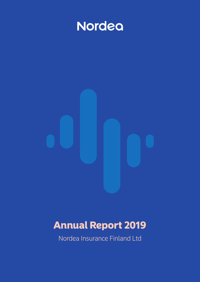<span id="page-0-0"></span>

# Annual Report 2019

Nordea Insurance Finland Ltd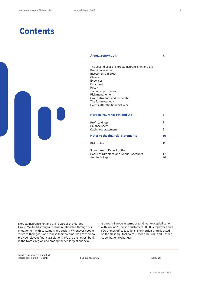# **Contents**

# **Annual report 2019 4**



| The second year of Nordea Insurance Finland Ltd |
|-------------------------------------------------|
| Premium income                                  |
| Investments in 2019                             |
| Claims                                          |
| <b>Expenses</b>                                 |
| Personnel                                       |
| Result                                          |
| <b>Technical provisions</b>                     |
| Risk management                                 |
| Group structure and ownership                   |
| The future outlook                              |
| Events after the financial year                 |
|                                                 |
|                                                 |

| Nordea Insurance Finland Ltd                                                               |          |
|--------------------------------------------------------------------------------------------|----------|
| Profit and loss<br>Balance sheet<br>Cash flow statement                                    | 8<br>9   |
| Notes to the financial statements                                                          | 10       |
| Riskprofile                                                                                | 17       |
| Signatures of Report of the<br>Board of Directors' and Annual Accounts<br>Auditor's Report | 19<br>20 |

Nordea Insurance Finland Ltd is part of the Nordea Group. We build strong and close relationship through our engagement with customers and society. Whenever people strive to their goals and realise their dreams, we are there to provide relevant financial solutions. We are the largest bank in the Nordic region and among the ten largest financial

groups in Europe in terms of total market capitalisation with around 11 million customers, 31,500 employees and 600 branch office locations. The Nordea share is listed on the Nasdaq Stockholm, Nasdaq Helsinki and Nasdaq Copenhagen exchanges.

Nordea Insurance Finland Ltd nordea menano - mana eta<br>Kaisaniemenkatu 6, Helsinki horreka eta ET-00020 NORDEA nordea.fi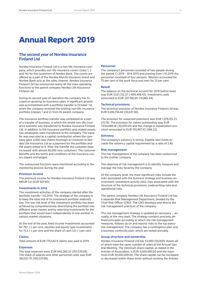# **The second year of Nordea Insurance Finland Ltd**

Nordea Insurance Finland Ltd is a non-life insurance company, which provides non-life insurance covers (class 1, 2 and 16) for the customers of Nordea Bank. The covers are offered as a part of the Nordea MyLife insurance brand and Nordea Bank acts as the sales channel. Nordea Insurance Finland Ltd has outsourced nearly all the main operating functions to the parent company Nordea Life Assurance Finland Ltd.

During its second year of operation the company has focused on growing its insurance sales. A significant growth was accomplished with a portfolio transfer in October 1st, when the company received the existing non-life insurance portfolio (classes 1 and 2) from its parent company.

The insurance portfolio transfer was completed as a part of a transfer of business, in which the whole non-life insurance business was transferred to Nordea Insurance Finland Ltd. In addition to the insurance portfolio and related assets, two employees were transferred to the company. The transfer was executed as a capital contribution where the company gave 3,000 new shares thorough an emission to Nordea Life Assurance Ltd as a payment for the portfolio and the assets linked to it. After the transfer the customer base increased with almost 85,000 new customers. The customer benefits and the terms and conditions of the insurance covers stayed unchanged.

The outsourced functions were monitored according to the monitoring process during the year.

## **Premium income**

The premium income for Nordea Insurance Finland Ltd was MEUR 5.4 (EUR 607.60).

# **Investments in 2019**

The investment activities of the company started after the portfolio transfer 1.10.2019. The strategy of the company is to keep the total risk of its investment portfolio relatively low. The low risk level of the investment portfolio has been achieved by comprehensively diversifying the portfolio into different asset classes and by selecting investments for the portfolio that would react independently of one another in various market situations.

At the end of the year, fixed income investments accounted for 79,1 (-) per cent, equities and equity-type investments for 15,3 (-) per cent and the share of cash 5,6 (-) per cent.

#### **Claims**

Total amount of EUR 775,542.9 claims was paid in 2019.

#### **Expenses**

The total expenses were EUR 843,280.33 (357,539.09). The share of salaries and other personnel costs was EUR 183,551.79 (190,337.99).

# **Personnel**

The company's personnel consisted of two people during the period 1.1.2019 - 30.9.2019 and starting from 1.10.2019 the personnel consisted of four persons. Women accounted for 75 per cent of the work force and men for 25 per cent.

#### **Result**

The balance on the technical account for 2019 before taxes was EUR 3,521,722.27 (-404,448.43). Investment costs amounted to EUR 220 983,81 (16,885.44).

## **Technical provisions**

The technical provision of Nordea Insurance Finland Ltd was EUR 9,206,756.84 (30,631.50).

The provision for unearned premiums was EUR 1,076,101.23 (15.74). The provision for claims outstanding was EUR 7,934,688.18 (30,029.54) and the change in equalization provision amounted to EUR 195,967.43 (586.22).

#### **Solvency**

The company's solvency is strong. Eligible own funds exceeds the solvency capital requirement by a ratio of 2.40.

### **Risk management**

The risk management of the company has been outsourced to the mother company.

The objective of risk management is to identify, measure and manage the risks faced by the company.

At the company level, the most significant risks include the risks associated with the business strategy and business environment, investment activity risks, risks associated with the structure of the technical provisions, underwriting risks and operational risks.

The parent company Nordea Life Assurance Finland Ltd has a separate Risk Management Department, headed by the Chief Risk Officer (CRO). The CRO develops and directs the risk management practices of the company.

The risk management strategy is updated as necessary – annually, at the very least. The strategy contains precisely defined principles according to which the risk management measures, follows up on and reports risks to the top executive management. The company has a contingency plan and a business continuity plan, which are tested annually.

# **Group structure and ownership**

Nordea Insurance Finland Ltd has 53,000 (50,000) shares all of which have the same number of votes at the Annual General Meeting. The minimum share capital, as stated in the Articles of Association, is EUR 5,000,000.00 and the maximum EUR 20,000,000.00. The share capital can be increased or decreased within these limits without revising the Articles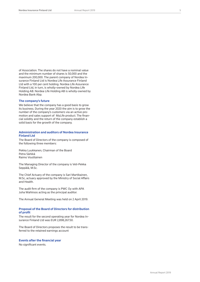of Association. The shares do not have a nominal value and the minimum number of shares is 50,000 and the maximum 200,000. The parent company of Nordea Insurance Finland Ltd is Nordea Life Assurance Finland Ltd with a 100 per cent holding. Nordea Life Assurance Finland Ltd, in turn, is wholly-owned by Nordea Life Holding AB. Nordea Life Holding AB is wholly-owned by Nordea Bank Abp.

# **The company's future**

We believe that the company has a good basis to grow its business. During the year 2020 the aim is to grow the number of the company's customers via an active promotion and sales support of MyLife product. The financial solidity and the return of the company establish a solid basis for the growth of the company.

# **Administration and auditors of Nordea Insurance Finland Ltd**

The Board of Directors of the company is composed of the following three members:

Pekka Luukkanen, Chairman of the Board Petra Särkkä Raimo Voutilainen

The Managing Director of the company is Veli-Pekka Seppälä, M.Sc.

The Chief Actuary of the company is Sari Martikainen, M.Sc, actuary approved by the Ministry of Social Affairs and Health.

The audit firm of the company is PWC Oy with APA Juha Wahlroos acting as the principal auditor.

The Annual General Meeting was held on 2 April 2019.

# **Proposal of the Board of Directors for distribution of profit**

The result for the second operating year for Nordea Insurance Finland Ltd was EUR 2,898,267.50.

The Board of Directors proposes the result to be transferred to the retained earnings account

### **Events after the financial year**

No significant events.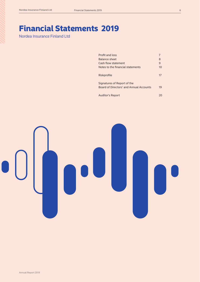Financial Statements 2019 Nordea Insurance Finland Ltd

| Profit and loss                         |    |
|-----------------------------------------|----|
| <b>Balance sheet</b>                    | 8  |
| Cash flow statement                     | 9  |
| Notes to the financial statements       | 10 |
|                                         |    |
| Riskprofile                             | 17 |
|                                         |    |
| Signatures of Report of the             |    |
| Board of Directors' and Annual Accounts | 19 |
|                                         |    |
| <b>Auditor's Report</b>                 |    |
|                                         |    |

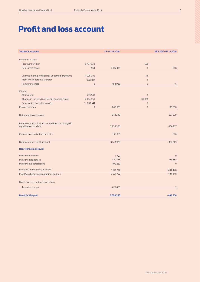# Profit and loss account

| <b>Technical Account</b>                                                    |                               | $1.1 - 31.12.2019$ |                             | 28.7.2017-31.12.2018 |
|-----------------------------------------------------------------------------|-------------------------------|--------------------|-----------------------------|----------------------|
| Premiums earned                                                             |                               |                    |                             |                      |
| Premiums written                                                            | 5 437 930                     |                    | 608                         |                      |
| Reinsurers' share                                                           | $-554$                        | 5 437 375          | $\overline{0}$              | 608                  |
| Change in the provision for unearned premiums                               | $-1076085$                    |                    | $-16$                       |                      |
| From which portfolio transfer                                               |                               |                    |                             |                      |
| Reinsurers' share                                                           | 1 2 6 5 0 1 2<br>$\mathbf{0}$ | 188 926            | $\mathbf 0$<br>$\mathbf{0}$ | $-16$                |
|                                                                             |                               |                    |                             |                      |
| Claims                                                                      |                               |                    |                             |                      |
| Claims paid                                                                 | $-775543$                     |                    | $\overline{0}$              |                      |
| Change in the provision for outstanding claims                              | -7 904 659                    |                    | $-30030$                    |                      |
| From which portfolio transfer                                               | 7 833 541                     |                    | $\mathbf{0}$                |                      |
| Reinsurers' share                                                           | $\overline{0}$                | $-846661$          | $\overline{0}$              | $-30030$             |
| Net operating expenses                                                      |                               | $-843280$          |                             | $-357539$            |
| Balance on technical account before the change in<br>equalisation provision |                               | 3 9 3 6 3 6 0      |                             | $-386977$            |
| Change in equalisation provision                                            |                               | $-195381$          |                             | $-586$               |
| Balance on technical account                                                |                               | 3740979            |                             | $-387563$            |
| <b>Non-technical account</b>                                                |                               |                    |                             |                      |
| Investment income                                                           |                               | 1727               |                             | $\Omega$             |
| Investment expenses                                                         |                               | $-120755$          |                             | $-16885$             |
| Investment depreciations                                                    |                               | $-100229$          |                             | $\overline{0}$       |
| Profit/loss on ordinary activities                                          |                               | 3 5 21 7 22        |                             | $-404448$            |
| Profit/loss before appropriations and tax                                   |                               | 3 5 21 7 22        |                             | $-404448$            |
| Dirext taxes on ordinary operations                                         |                               |                    |                             |                      |
| Taxes for the year                                                          |                               | $-623455$          |                             | $-2$                 |
| <b>Result for the year</b>                                                  |                               | 2898268            |                             | $-404450$            |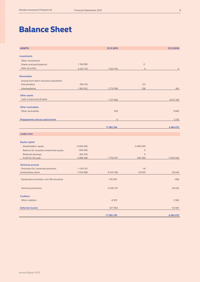# Balance Sheet

| <b>ASSETS</b>                              |            | 31.12.2019   |                     | 31.12.2018     |
|--------------------------------------------|------------|--------------|---------------------|----------------|
| <b>Investments</b>                         |            |              |                     |                |
| Other investments                          |            |              |                     |                |
| Shares and participations                  | 1196 000   |              | $\mathbf{0}$        |                |
| Debt securities                            | 6 437 743  | 7633743      | $\overline{0}$      | $\overline{0}$ |
|                                            |            |              |                     |                |
| <b>Receivables</b>                         |            |              |                     |                |
| Arising from direct insurance operations   |            |              |                     |                |
| Policyholders                              | 786 476    |              | 123                 |                |
| Intermediaries                             | 1992822    | 2779 298     | 338                 | 461            |
| <b>Other assets</b>                        |            |              |                     |                |
| Cash in hand and at bank                   |            | 7 271 692    |                     | 4 672 109      |
|                                            |            |              |                     |                |
| <b>Other receivables</b>                   |            |              |                     |                |
| Other receivables                          |            | 563          |                     | 9865           |
|                                            |            |              |                     |                |
| <b>Prepayments and accrued income</b>      |            | $\mathbf{0}$ |                     | 2 2 3 5        |
|                                            |            | 17 685 296   |                     | 4 684 670      |
| <b>LIABILITIES</b>                         |            |              |                     |                |
|                                            |            |              |                     |                |
| <b>Equity capital</b>                      |            |              |                     |                |
| Shareholders' equity                       | $-5000000$ |              | $-5000000$          |                |
| Reserve for invested unrestricted equity   | $-300000$  |              | $\mathsf{O}\xspace$ |                |
| Retained earnings                          | 404 450    |              | $\overline{0}$      |                |
| Profit for the year                        | $-2898268$ | -7793817     | 404 450             | $-4595550$     |
| <b>Technical account</b>                   |            |              |                     |                |
| Provisions for unearned premiums           | $-1076101$ |              | $-16$               |                |
| Outstanding claims                         | $-7934688$ | $-9010789$   | $-30030$            | $-30045$       |
|                                            |            |              |                     |                |
| Equalisation provision, non-life insurance |            | $-195967$    |                     | $-586$         |
|                                            |            | $-9206757$   |                     | $-30632$       |
| <b>Technical provisions</b>                |            |              |                     |                |
| <b>Creditors</b>                           |            |              |                     |                |
| Other creditors                            |            | $-6919$      |                     | $-2582$        |
| <b>Deferred income</b>                     |            | $-677803$    |                     | $-55907$       |
|                                            |            |              |                     |                |
|                                            |            | $-17685296$  |                     | $-4684670$     |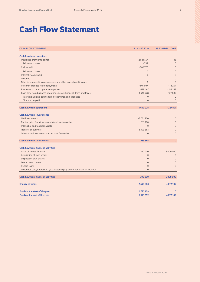# Cash Flow Statement

| <b>CASH FLOW STATEMENT</b>                                                 | $1.1 - 31.12.2019$ | 28.7.2017-31.12.2018 |
|----------------------------------------------------------------------------|--------------------|----------------------|
| <b>Cash flow from operations</b>                                           |                    |                      |
| Insurance premiums gained                                                  | 2 581 557          | 146                  |
| Reinsurers' share                                                          | $-554$             | $\Omega$             |
| Claims paid                                                                | $-702776$          | $\Omega$             |
| Reinsurers' share                                                          | $\Omega$           | $\Omega$             |
| Interest income paid                                                       | $\mathbf 0$        | $\overline{0}$       |
| <b>Dividend</b>                                                            | $\overline{0}$     | $\overline{0}$       |
| Other investment income received and other operational income              | $\overline{0}$     | $\Omega$             |
| Personel expense related payments                                          | $-146007$          | $-174254$            |
| Payments on other operative expenses                                       | $-878467$          | $-154243$            |
| Cash flow from business operations before financial items and taxes        | 1640228            | $-327889$            |
| Interest paid and payments on other financing expenses                     | $\overline{0}$     | $-2$                 |
| Direct taxes paid                                                          | $\overline{0}$     | $\overline{0}$       |
|                                                                            |                    |                      |
| <b>Cash flow from operations</b>                                           | 1640228            | $-327891$            |
|                                                                            |                    |                      |
| <b>Cash flow from investments</b>                                          |                    |                      |
| Net investments                                                            | $-8051700$         | $\overline{0}$       |
| Capital gains from investments (excl. cash assets)                         | 311 200            | $\overline{0}$       |
| Intangible and tangible assets                                             | $\overline{0}$     | $\Omega$             |
| <b>Transfer of business</b>                                                | 8 399 855          | $\overline{0}$       |
| Other asset investments and income from sales                              | $\Omega$           | $\overline{0}$       |
|                                                                            |                    |                      |
| <b>Cash flow from investments</b>                                          | 659 355            | $\mathbf{0}$         |
|                                                                            |                    |                      |
| <b>Cash flow from financial activities</b>                                 |                    |                      |
| Issue of shares for cash                                                   | 300 000            | 5 000 000            |
| Acquisition of own shares                                                  | $\overline{0}$     | $\overline{0}$       |
| Disposal of own shares                                                     | $\overline{0}$     | $\mathbf{0}$         |
| Loans drawn down                                                           | $\overline{0}$     | $\mathbf{0}$         |
| Repaid loans                                                               | $\overline{0}$     | $\overline{0}$       |
| Dividends paid/Interest on guaranteed equity and other profit distribution | $\overline{0}$     | $\Omega$             |
| <b>Cash flow from financial activities</b>                                 | 300 000            | 5 000 000            |
|                                                                            |                    |                      |
| <b>Change in funds</b>                                                     | 2 599 583          | 4 672 109            |
|                                                                            |                    |                      |
| Funds at the start of the year                                             | 4 672 109          | $\mathbf{0}$         |
| Funds at the end of the year                                               | 7 271 692          | 4 672 109            |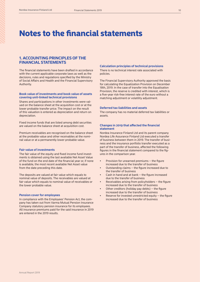# Notes to the financial statements

# **1. ACCOUNTING PRINCIPLES OF THE FINANCIAL STATEMENTS**

The financial statements have been drafted in accordance with the current applicable corporate laws as well as the decisions, rules and regulations specified by the Ministry of Social Affairs and Health and the Financial Supervisory Authority.

# **Book value of investments and book value of assets covering unit-linked technical provisions**

Shares and participations in other investments were valued on the balance sheet at the acquisition cost or at the lower probable transfer price. The impact on the result of this valuation is entered as depreciation and return on depreciation.

Fixed income funds that are listed among debt securities are valued on the balance sheet at acquisition cost.

Premium receivables are recognised on the balance sheet at the probable value and other receivables at the nominal value or at a permanently lower probable value.

# **Fair value of investments**

The fair value of the equity and fixed income fund investments is obtained using the last available Net Asset Value of the fund on the end date of the financial year or, if none is available, the most recent available Net Asset value from the date preceding this date.

The deposits are valued at fair value which equals to nominal value of deposits. The receivables are valued at fair value which equals to nominal value of receivables or the lower probable value.

#### **Pension cover for employees**

In compliance with the Employees' Pension Act, the company has taken out from Varma Mutual Pension Insurance Company statutory pension insurance for its employees. All insurance premiums paid for the said insurance in 2019 are entered in the 2019 results.

### **Calculation principles of technical provisions**

There is no technical interest rate associated with policies.

The Financial Supervisory Authority approved the basis for calculating the Equalization Provision on December 18th, 2019. In the case of transfer into the Equalisation Provision, the reserve is credited with interest, which is a five-year risk-free interest rate of the euro without a matching adjustment or volatility adjustment.

# **Deferred tax liabilities and assets**

The company has no material deferred tax liabilities or assets.

# **Changes in 2019 that affected the financial statement**

Nordea Insurance Finland Ltd and its parent company Nordea Life Assurance Finland Ltd executed a transfer of business between them in 2019. The transfer of business and the insurance portfolio transfer executed as a part of the transfer of business, affected the following figures in the financial statement compared to the figures in the comparison year.

- Provision for unearned premiums the figure increased due to the transfer of business
- Outstanding claims the figure increased due to the transfer of business
- Cash in hand and at bank the figure increased due to the transfer of business
- Receivables arising from policyholders  $-$  the figure increased due to the transfer of business
- Other creditors (holiday pay debts)  $-$  the figure increased due to the transfer of business
- Reserve for invested unrestricted equity  $-$  the figure increased due to the transfer of business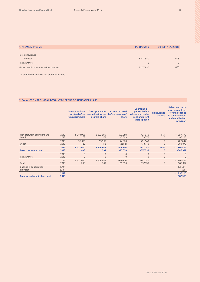| <b>1. PREMIUM INCOME</b>            | 1.1.-31.12.2019 | 28.7.2017-31.12.2018 |
|-------------------------------------|-----------------|----------------------|
|                                     |                 |                      |
| Direct insurance                    |                 |                      |
| Domestic                            | 5437930         | 608                  |
| Reinsurance                         | $\Omega$        | $\Omega$             |
| Gross premium income before outward | 5437930         | 608                  |

No deductions made to the premium income.

# 2. BALANCE ON TECHNICAL ACCOUNT BY GROUP OF INSURANCE CLASS

|                                     |              | <b>Gross premiums</b><br>written before<br>reinsurers' share | <b>Gross premiums</b><br>earned before re-<br>insurers' share | <b>Claims incurred</b><br>before reinsurers'<br>share | <b>Operating ex-</b><br>penses before<br>reinsurers' comis-<br>sions and profit<br>participation | Reinsurance<br>balance | <b>Balance on tech-</b><br>nical account be-<br>fore the change<br>in collective item<br>and equalisation<br>provision |
|-------------------------------------|--------------|--------------------------------------------------------------|---------------------------------------------------------------|-------------------------------------------------------|--------------------------------------------------------------------------------------------------|------------------------|------------------------------------------------------------------------------------------------------------------------|
|                                     |              |                                                              |                                                               |                                                       |                                                                                                  |                        |                                                                                                                        |
| Non-statutory accindent and         | 2019         | 5 340 955                                                    | 5 5 3 2 8 8 9                                                 | $-772293$                                             | $-421640$                                                                                        | $-554$                 | $-11$ 399 798                                                                                                          |
| health                              | 2018         | 178                                                          | 174                                                           | $-7509$                                               | $-178770$                                                                                        | $\Omega$               | $-186105$                                                                                                              |
|                                     | 2019         | 96 975                                                       | 93 967                                                        | $-74368$                                              | $-421640$                                                                                        | $\Omega$               | $-402042$                                                                                                              |
| Other                               | 2018         | 429                                                          | 418                                                           | $-22521$                                              | $-178770$                                                                                        | $\overline{0}$         | $-200872$                                                                                                              |
| Direct insurance total              | 2019<br>2018 | 5 437 930<br>608                                             | 5 626 856<br>592                                              | $-846661$<br>$-30030$                                 | $-843280$<br>$-357539$                                                                           | $-554$<br>$\mathbf 0$  | $-11801839$<br>$-386977$                                                                                               |
|                                     | 2019         | $\overline{0}$                                               | $\overline{0}$                                                | $\overline{0}$                                        | $\Omega$                                                                                         | $\mathbf{0}$           | $\Omega$                                                                                                               |
| Reinsurance                         | 2018         | $\Omega$                                                     | $\overline{0}$                                                | $\overline{0}$                                        | $\Omega$                                                                                         | $\mathbf{0}$           | $\Omega$                                                                                                               |
|                                     | 2019         | 5 437 930                                                    | 5 626 856                                                     | $-846661$                                             | $-843280$                                                                                        | $\mathbf{0}$           | $-11801839$                                                                                                            |
| Total                               | 2018         | 608                                                          | 592                                                           | $-30030$                                              | $-357539$                                                                                        | $\mathbf{0}$           | $-386977$                                                                                                              |
| Change in equalisation              | 2019         |                                                              |                                                               |                                                       |                                                                                                  |                        | $-195381$                                                                                                              |
| provision                           | 2018         |                                                              |                                                               |                                                       |                                                                                                  |                        | $-586$                                                                                                                 |
| <b>Balance on technical account</b> | 2019<br>2018 |                                                              |                                                               |                                                       |                                                                                                  |                        | $-11997220$<br>$-387563$                                                                                               |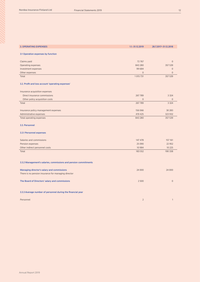| <b>3. OPERATING EXPENSES</b>                                     | 1.1.-31.12.2019 | 28.7.2017-31.12.2018 |
|------------------------------------------------------------------|-----------------|----------------------|
|                                                                  |                 |                      |
| 3.1 Operation expenses by function                               |                 |                      |
| Claims paid                                                      | 72767           | $\overline{0}$       |
| <b>Operating expenses</b>                                        | 843 280         | 357 539              |
| Investment expenses                                              | 99 684          | $\overline{0}$       |
| Other expenses                                                   | $\overline{0}$  | $\Omega$             |
| Total                                                            | 1 0 1 5 7 3 1   | 357 539              |
|                                                                  |                 |                      |
| 3.2. Profit and loss account 'operating expenses'                |                 |                      |
| Insurance acquisition expenses                                   |                 |                      |
| Direct insurance commissions                                     | 267789          | 3 3 2 4              |
| Other policy acquisition costs                                   | $\overline{0}$  | $\Omega$             |
| Total                                                            | 267789          | 3 3 2 4              |
|                                                                  |                 |                      |
| Insurance policy management expenses                             | 156 066         | 30 283               |
| Administrative expenses                                          | 419 425         | 323 932              |
| Total operating expenses                                         | 843 280         | 357 539              |
| 3.3. Personnel                                                   |                 |                      |
|                                                                  |                 |                      |
| 3.3.1 Personnel expenses                                         |                 |                      |
|                                                                  |                 |                      |
| Salaries and commissions                                         | 147 478         | 157 161              |
| Pension expenses                                                 | 25 0 90         | 22 9 52              |
| Other indirect personnel costs                                   | 10 9 84         | 10 2 25              |
| Total                                                            | 183 552         | 190 338              |
|                                                                  |                 |                      |
| 3.3.2 Management's salaries, commissions and pension commitments |                 |                      |
|                                                                  |                 |                      |
| Managing director's salary and commissions                       | 24 000          | 24 000               |
| There is no pension insurance for managing director              |                 |                      |
|                                                                  |                 |                      |
| The Board of Directors' salary and commissions                   | 2500            | $\overline{0}$       |
|                                                                  |                 |                      |
| 3.3.3 Average number of personnel during the financial year      |                 |                      |
|                                                                  |                 |                      |
|                                                                  |                 |                      |

Personnel 2 1

Annual Report 2019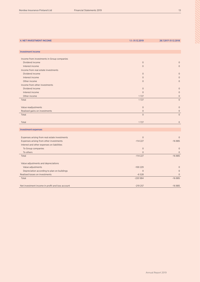| <b>4. NET INVESTMENT INCOME</b>                               | 1.1.-31.12.2019     | 28.7.2017-31.12.2018       |
|---------------------------------------------------------------|---------------------|----------------------------|
|                                                               |                     |                            |
| <b>Investment income</b>                                      |                     |                            |
|                                                               |                     |                            |
| Income from investments in Group companies<br>Dividend income | $\mathsf{O}\xspace$ | $\overline{0}$             |
| Interest income                                               | $\overline{0}$      | $\overline{0}$             |
|                                                               |                     |                            |
| Income from real estate investments                           | $\Omega$            |                            |
| Dividend income                                               |                     | $\overline{0}$             |
| Interest income                                               | $\overline{0}$      | $\Omega$                   |
| Other income                                                  | $\overline{0}$      | $\Omega$                   |
| Income from other investments                                 |                     |                            |
| Dividend income                                               | $\mathbf{0}$        | $\overline{0}$             |
| Interest income                                               | $\overline{0}$      | $\overline{0}$             |
| Other income                                                  | 1727                | $\mathbf 0$                |
| Total                                                         | 1727                | $\overline{0}$             |
| Value readjustments                                           | $\mathsf{O}\xspace$ | $\mathbf 0$                |
| Realised gains on investments                                 | $\mathsf{O}\xspace$ | $\mathbf{0}$               |
| Total                                                         | $\Omega$            | $\overline{0}$             |
|                                                               |                     |                            |
| Total                                                         | 1727                | $\overline{0}$             |
| <b>Investment expenses</b>                                    |                     |                            |
|                                                               |                     |                            |
| Expenses arising from real estate investments                 | $\overline{0}$      | $\Omega$                   |
| Expenses arising from other investments                       | $-114227$           | $-16885$                   |
| Interest and other expenses on liabilities                    |                     |                            |
| To Group companies                                            | $\mathsf{O}\xspace$ | $\overline{0}$             |
| To others                                                     | $\mathbf{0}$        | $\Omega$                   |
| Total                                                         | $-114227$           | $-16885$                   |
|                                                               |                     |                            |
| Value adjustments and depreciations                           |                     |                            |
| Value adjustments                                             | $-100229$           | $\overline{0}$<br>$\Omega$ |
| Depreciation according to plan on buildings                   | $\mathbf{0}$        |                            |
| Realised losses on investments                                | $-6528$             | $\Omega$                   |
| Total                                                         | $-220984$           | $-16885$                   |
| Net investment income in profit and loss account              | $-219257$           | $-16885$                   |
|                                                               |                     |                            |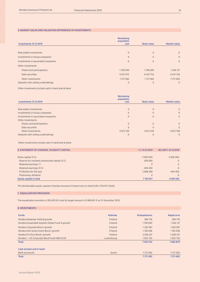## 5. MARKET VALUE AND VALUATION DIFFERENCE OF INVESTMENTS

|                                     | Remaining<br>acquisition |                   |                     |
|-------------------------------------|--------------------------|-------------------|---------------------|
| <b>Investments 31.12.2019</b>       | cost                     | <b>Book value</b> | <b>Market value</b> |
|                                     |                          |                   |                     |
| Real estate investments             | $\overline{0}$           | $\overline{0}$    | $\mathbf{0}$        |
| Investments in Group companies      | $\mathbf{0}$             | $\overline{0}$    | $\mathbf{0}$        |
| Investments in associated companies | $\mathbf{0}$             | $\overline{0}$    | $\mathbf{0}$        |
| Other investments                   |                          |                   |                     |
| Shares and participations           | 1196 000                 | 1196 000          | 1 2 4 6 1 2 7       |
| Debt securities                     | 6 537 972                | 6 437 743         | 6 437 743           |
| Other investments                   | 7 271 692                | 7 271 692         | 7 271 692           |
| Deposits with ceding undertakings   | $\overline{0}$           | $\overline{0}$    | $\mathbf{0}$        |

Other investments include cash in hand and at bank

|                                     | Remaining<br>acquisition |                   |                     |
|-------------------------------------|--------------------------|-------------------|---------------------|
| <b>Investments 31.12.2018</b>       | cost                     | <b>Book value</b> | <b>Market value</b> |
|                                     |                          |                   |                     |
| Real estate investments             | $\Omega$                 | $\Omega$          | $\Omega$            |
| Investments in Group companies      | $\Omega$                 | $\Omega$          | $\Omega$            |
| Investments in associated companies | $\Omega$                 | $\Omega$          | $\Omega$            |
| Other investments                   |                          |                   |                     |
| Shares and participations           | $\Omega$                 | $\Omega$          | $\Omega$            |
| Debt securities                     | $\Omega$                 |                   | $\Omega$            |
| Other investments                   | 4 672 109                | 4 672 109         | 4 672 109           |
| Deposits with ceding undertakings   | $\Omega$                 | 0                 | $\Omega$            |

Other investments include cash in hand and at bank

| <b>6. STATEMENT OF CHANGES IN EQUITY CAPITAL</b> | 1.1.-31.12.2019 | 28.7.2017-31.12.2018 |
|--------------------------------------------------|-----------------|----------------------|
|                                                  |                 |                      |
| Share capital 31.12.                             | 5 000 000       | 5 000 000            |
| Reserve for invested unrestricted capital 31.12  | 300 000         | $\Omega$             |
| Retained earnings 1.1.                           | $\overline{0}$  | $\Omega$             |
| Retained earnings 31.12.                         | $-404450$       | $\Omega$             |
| Profit/loss for the year                         | 2898268         | $-404450$            |
| Preliminary dividend                             | $\overline{0}$  | $\Omega$             |
| Equity capital in total                          | 7793817         | 4 595 550            |

The distributable equity capital in Nordea Insurance Finland Ltd is in total EUR 2 793 817 (0,00)

# 7. EQUALIZATION PROVISION

The equalization provision is 195 967,43 € and its target amount is 8 468 601 € on 31 December 2019.

|  |  | <b>8. INVESTMENTS</b> |
|--|--|-----------------------|
|  |  |                       |

| <b>Funds</b>                                     | <b>Kotimaa</b> | Kirjanpitoarvo | Käypä arvo    |
|--------------------------------------------------|----------------|----------------|---------------|
| Nordea Moderate Yield B growth                   | <b>Finland</b> | 399 776        | 399 776       |
| Nordea Sustainable Equities Global Fund A growth | Finland        | 1196 000       | 1 246 127     |
| Nordea Corporate Bond I growth                   | Finland        | 1220287        | 1220287       |
| Nordea AAA Government Bond I growth              | Finland        | 1165638        | 1165 638      |
| Nordea Pro Euro Bond I growth                    | Finland        | 2 0 2 6 3 2 1  | 2 0 2 6 3 2 1 |
| Nordea 1 - US Corporate Bond Fund HBIE-EUR       | Luxembourg     | 1625720        | 1625720       |
| <b>Total</b>                                     |                | 7633743        | 7683870       |
| Cash at bank and in hand                         |                |                |               |
|                                                  |                |                |               |
| <b>Bank accoounts</b>                            | Suomi          | 7 271 692      | 7 271 692     |
| <b>Total</b>                                     |                | 7 271 692      | 7 271 692     |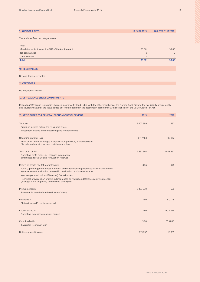| <b>9. AUDITORS' FEES</b>                             | 1.1.-31.12.2019 | 28.7.2017-31.12.2018 |
|------------------------------------------------------|-----------------|----------------------|
|                                                      |                 |                      |
| The auditors' fees per category were                 |                 |                      |
|                                                      |                 |                      |
| Audit                                                |                 |                      |
| Mandates subject to section 1(2) of the Auditing Act | 33 861          | 5 0 0 0              |
| Tax consultation                                     | $\mathbf{0}$    | $\overline{0}$       |
| Other services                                       | $\overline{0}$  | $\overline{0}$       |
| <b>Total</b>                                         | 33 861          | 5 0 0 0              |
|                                                      |                 |                      |
| <b>10. RECEIVABLES</b>                               |                 |                      |
|                                                      |                 |                      |
| No long-term receivables.                            |                 |                      |

# 11. CREDITORS

No long-term creditors.

### 12. OFF-BALANCE SHEET COMMITMENTS

Regarding VAT group registration, Nordea Insurance Finland Ltd is, with the other members of the Nordea Bank Finland Plc tax liability group, jointly and severally liable for the value added tax to be rendered in the accounts in accordance with section 188 of the Value Added Tax Act.

| <b>13. KEY FIGURES FOR GENERAL ECONOMIC DEVELOPMENT</b>                                                                                                                    | 2019          | 2018       |
|----------------------------------------------------------------------------------------------------------------------------------------------------------------------------|---------------|------------|
|                                                                                                                                                                            |               |            |
| Turnover                                                                                                                                                                   | 5 407 599     | 592        |
| Premium income before the reinsurers' share +                                                                                                                              |               |            |
| investment income and unrealised gains + other income                                                                                                                      |               |            |
| Operating profit or loss                                                                                                                                                   | 3 717 103     | $-403862$  |
| Profit or loss before changes in equalisation provision, additional bene-<br>fits, extraordinary items, appropriations and taxes                                           |               |            |
| Total profit or loss                                                                                                                                                       | 3 3 5 2 5 9 2 | $-403862$  |
| Operating profit or loss +/- changes in valuation<br>differences, fair value and revaluation reserves                                                                      |               |            |
| Return on assets (%) (at market value)                                                                                                                                     | 33,6          | $-8,6$     |
| 100 x (Operating profit or loss + interest and other financing expenses + calculated interest<br>+/- revaluation/revaluation reversed in revaluation or fair value reserve |               |            |
| +/- changes in valuation differences) / (total assets                                                                                                                      |               |            |
| -technical provisions on unit-linked insurances +/- valuation differences on investments)<br>(average at the beginning and the end of the year)                            |               |            |
| Premium income                                                                                                                                                             | 5 437 930     | 608        |
| Premium income before the reinsurers' share                                                                                                                                |               |            |
| Loss ratio %                                                                                                                                                               | 15,0          | 5 0 7 3, 8 |
| Claims incurred/premiums earned                                                                                                                                            |               |            |
| Expense ratio %                                                                                                                                                            | 15,0          | 60 409,4   |
| Operating expenses/premiums earned                                                                                                                                         |               |            |
| Combined ratio                                                                                                                                                             | 30,0          | 65 483,2   |
| Loss ratio + expense ratio                                                                                                                                                 |               |            |
| Net investment income                                                                                                                                                      | $-219257$     | $-16885$   |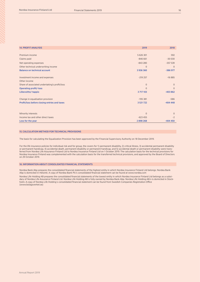| <b>14. PROFIT ANALYSIS</b>                    | 2019           | 2018           |
|-----------------------------------------------|----------------|----------------|
|                                               |                |                |
| Premium income                                | 5 626 301      | 592            |
| Claims paid                                   | $-846661$      | $-30030$       |
| Net operating expenses                        | $-843280$      | $-357539$      |
| Other technical underwriting income           | $\overline{0}$ | $\Omega$       |
| <b>Balance on technical account</b>           | 3936360        | $-386977$      |
| Investment income and expenses                | $-219257$      | $-16885$       |
| Other income                                  |                |                |
| Share of associated undertaking's profit/loss | $\mathbf{0}$   | $\overline{0}$ |
| <b>Operating profit/-loss</b>                 | $\Omega$       | $\Omega$       |
| Liikevoitto/-tappio                           | 3717103        | $-403862$      |
| Change in equalisation provision              | $-195381$      | $-586$         |
| Profit/loss before closing entries and taxes  | 3 5 21 7 22    | $-404448$      |
|                                               |                |                |
| Minority interests                            | $\mathbf{0}$   | $\Omega$       |
| Income tax and other direct taxes             | $-623455$      | $-2$           |
| Loss for the year                             | 2898268        | $-404450$      |

# 15. CALCULATION METHOD FOR TECHNICAL PROVISIONS

The basis for calculating the Equalization Provision has been approved by the Financial Supervisory Authority on 18 December 2019.

For the life insurance policies for individual risk and for group, the covers for 1) permanent disability, 2) critical illness, 3) accidental permanent disability or permanent handicap, 4) accidental death, permanent disability or permanent handicap, and 5) accidental death or permanent disability were transferred from Nordea Life Assurance Finland Ltd to Nordea Insurance Finland Ltd on 1 October 2019. The calculation basis for the technical provisions for Nordea Insurance Finland was complemented with the calculation basis for the transferred technical provisions, and approved by the Board of Directors on 29 October 2019.

#### 16. INFORMATION ABOUT CONSOLIDATED FINANCIAL STATEMENTS

Nordea Bank Abp prepares the consolidated financial statements of the highest entity in which Nordea Insurance Finland Ltd belongs. Nordea Bank Abp is domiciled in Helsinki. A copy of Nordea Bank Plc's consolidated financial statement can be found at www.nordea.com

Nordea Life Holding AB prepares the consolidated financial statements of the lowest entity in which Nordea Insurance Finland Ltd belongs as a subsidary of Nordea Life Assurance Finland Ltd. Nordea Life Holding AB is fully owned by Nordea Bank Abp. Nordea Life Holding AB:n is domiciled in Stockholm. A copy of Nordea Life Holding´s consolidated financial statement can be found from Swedish Companies Registration Office (www.bolagsverket.se)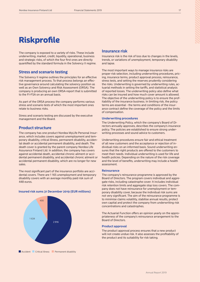# **Riskprofile**

The company is exposed to a variety of risks. These include underwriting, market, credit, liquidity, operational, business and strategic risks, of which the four first ones are directly quantified by the standard formula in the Solvency II regime.

# **Stress and scenario testing**

The Solvency II regime outlines the principles for an effective risk management process. To that process belongs an effective governance around calculating the solvency position as well as an Own Solvency and Risk Assessment (ORSA). The company is producing an own ORSA-report that is submitted to the FI-FSA on an annual basis.

As part of the ORSA process the company performs various stress and scenario tests of which the most important ones relate to business risks.

Stress and scenario testing are discussed by the executive management and the Board.

# **Product structure**

The company has one product Nordea MyLife Personal Insurance, which includes covers against unemployment and temporary disability, critical illness, permanent disability, accidental death or accidental permanent disability, and death. The death cover is granted by the parent company Nordea Life Assurance Finland Ltd. In addition, the company has covers against accidental death, accidental chronic ailment or accidental permanent disability, and accidental chronic ailment or accidental permanent disability, which are no longer for new sales.

The most significant part of the insurance portfolio are accidental covers. There are 1 165 unemployment and temporary disability covers with an average monthly paid risk sum of 448 euros.



#### **Insured risk sums 31 December 2019 (EUR millions)**

# **Insurance risk**

Insurance risk is the risk of loss due to changes in the levels, trends, or variations of unemployment, temporary disability and lapse.

The most important ways to manage insurance risks are proper risk selection, including underwriting procedures, pricing, insurance terms, product approval process, reinsurance, stress tests, and setting the reserves prudently considering the risks. Underwriting is governed by underwriting rules, actuarial methods in setting the tariffs, and statistical analysis of reported losses. The underwriting policy also define what risks can be insured and how much cover amount is allowed. The objective of the underwriting policy is to ensure the profitability of the insurance business. In limiting risk, the policy terms are essential - the terms and conditions of the insurance contract define the coverage of the policy and the limits of compensation.

# **Underwriting procedures**

The Underwriting Policy, which the company's Board of Directors annually approves, describes the company's insurance policy. The policies are established to ensure strong underwriting processes and sound advice to customers.

Underwriting procedures ensure fair and ethical treatment of all new customers and the acceptance or rejection of individual risks on an informed basis. Sound underwriting ensures that the right products are offered to the customers to meet their needs. Individual underwriting is used for life and health policies. Depending on the nature of the risk coverage and the level of benefits, underwriting may include a health assessment.

### **Reinsurance**

The company's reinsurance programme is approved by the Board of Directors. The program covers individual and aggregate risks, including catastrophe cover. It includes individual risk retention limits and aggregate stop loss covers. The company does not have reinsurance for unemployment or temporary disability cover, because the individual risk sums are not very significant. The aim of the reinsurance programme is to minimise claims volatility, stabilise annual results, protect own capital and protect the company from underwriting risk concentrations and catastrophes.

The Actuarial Function offers an opinion yearly on the appropriateness of the company's reinsurance arrangement to the Board of Directors.

#### **Product approval**

The product approval process ensures that a new product will not create undue risk. It also assesses the profitability of the product and its suitability for risk taking.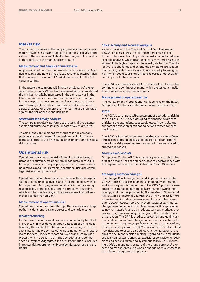# **Market risk**

The market risk arises at the company mainly due to the mismatch between assets and liabilities and the sensitivity of the values of these assets and liabilities to changes in the level or in the volatility of the market prices or rates.

## **Measurement and analysis of market risk**

All present assets of the company are placed as cash on Nordea accounts and hence they are exposed to counterpart risk that however is not a part of Market risk concept in the Solvency II setting.

In the future the company will invest a small part of the assets in equity funds. When this investment activity has started the market risk will be monitored in the same way as in the Life company, hence measured via the Solvency II standard formula, exposure measurement on investment assets, forward-looking balance sheet projections, and stress and sensitivity analysis. Furthermore, the market risks are monitored against the risk appetite and risk limits.

#### *Stress and sensitivity analysis*

The company regularly performs stress tests of the balance sheets and buffers to assess the impact of overnight stress.

As part of the capital management process, the company projects the development of the business including capital plans, and stress test it by using macroeconomic and business risk scenarios.

# **Operational risk**

Operational risk means the risk of direct or indirect loss, or damaged reputation, resulting from inadequate or failed internal processes, or from people, systems or external events. Regarding capital requirements; operational risk also covers legal risk and compliance risk.

Operational risk is inherent in all activities within the organisation, in outsourced activities and in all interactions with external parties. Managing operational risks is the day-to-day responsibility of the business and is a proactive discipline, which emphasises training and risk awareness from all employees across the company.

#### **Measurement of operational risk**

Operational risk is measured through the operational risk appetite, incident reporting and stress and scenario testing.

# *Incident reporting*

Incidents and security weaknesses are immediately handled in order to minimise damage. Upon detection of an incident, handling the incident has top priority. Unit managers are responsible for the proper handling, documentation and reporting of incidents. Incident reporting is a Nordea Group-wide process which is performed in the operational and compliance risk system. Aggregated incident information is included in regular risk reports to the Executive Management and the **Board** 

#### *Stress testing and scenario analysis*

As an extension of the Risk and Control Self-Assessment (RCSA) process a stress test of the material risks is performed. The stress test of operational risks is conducted as a scenario analysis, which tests selected key material risks considered to be highly important to investigate further. The objective is to challenge and extend the company's present understanding of its operational risk landscape by focusing on risks which could cause large financial losses or other significant impacts to the company

The RCSA also serves as input for scenarios to include in the continuity and contingency plans, which are tested annually to ensure learning and preparedness.

#### **Management of operational risk**

The management of operational risk is centred on the RCSA, Group Level Controls and change management processes.

#### *RCSA*

The RCSA is an annual self-assessment of operational risk in the business. The RCSA is designed to enhance awareness of risks in the operations, spot weaknesses in controls, and support prioritisation of mitigating actions related to these weaknesses.

The RCSA is focused on current risks that the business faces and also includes an analysis for emerging and anticipated operational risks, resulting from expected changes related to strategic initiatives.

# *Group Level Controls*

Group Level Control (GLC) is an annual process in which the first and second lines of defence assess their compliance with the requirements as specified in Nordea Group Directives.

#### *Managing material changes*

The Change Risk Management and Approval process (The CRMA process) consists of an initial materiality assessment and a subsequent risk assessment. The CRMA process is executed by using the quality and risk assessment (QRA) methodology and tools as provided by Nordea Group Operational Risk (GOR). For material Changes, the CRMA process is more extensive and includes the involvement of a number of mandatory stakeholders. Approval process captures all material changes in a unified and disciplined manner. It is applicable to new or materially altered products, services, markets, processes, IT systems and major changes to the operations and organisation. The QRA is used to analyse risk and quality aspects related to material changes on a case by case basis, for example new programs, significant changes to organisations, processes and systems. The QRA is performed in order to limit new risks and to ensure disciplined change management. It aims to document decision-making regarding risk and quality aspects connected to changes, explicit responsibility for decisions and actions taken, and systematic follow-up. Conducting a QRA is mandatory as part of the change approval process and mandatory to use when a change or development is run within a programme or project.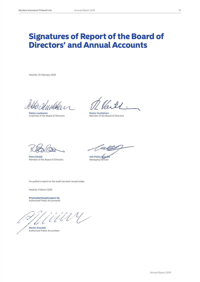# Signatures of Report of the Board of Directors' and Annual Accounts

Helsinki, 25 February 2020

׳ J

Pekka Luukkanen<br>Chairman of the Board of Directors **Raimo Voutilainen**<br>Member of the Board of Directors Chairman of the Board of Directors

 $H$ 

Petra Särkkä<br>Member of the Board of Directors<br>Managing Director Member of the Board of Directors

<u>ei fly</u>

An auditor's report on the audit has been issued today.

Helsinki, 9 March 2020

**PricewaterhouseCoopers Oy** Authorised Public Accountants

Martin Grandell Authorised Public Accountant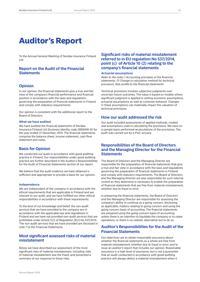# Auditor's Report

To the Annual General Meeting of Nordea Insurance Finland Ltd.

# **Report on the Audit of the Financial Statements**

# **Opinion**

In our opinion, the financial statements give a true and fair view of the company's financial performance and financial position in accordance with the laws and regulations governing the preparation of financial statements in Finland and comply with statutory requirements.

Our opinion is consistent with the additional report to the Board of Directors.

# **What we have audited**

We have audited the financial statements of Nordea Insurance Finland Ltd (business identity code 2868440-8) for the year ended 31 December, 2019. The financial statements comprise the balance sheet, income statement, cash flow statement and notes.

# **Basis for Opinion**

We conducted our audit in accordance with good auditing practice in Finland. Our responsibilities under good auditing practice are further described in the Auditor's Responsibilities for the Audit of Financial Statements section of our report.

We believe that the audit evidence we have obtained is sufficient and appropriate to provide a basis for our opinion.

# **Independence**

We are independent of the company in accordance with the ethical requirements that are applicable in Finland and are relevant to our audit, and we have fulfilled our other ethical responsibilities in accordance with these requirements.

To the best of our knowledge and belief, the non-audit services that we have provided to the company are in accordance with the applicable law and regulations in Finland and we have not provided non-audit services that are prohibited under Article 5(1) of Regulation (EU) No 537/2014. The non-audit services that we have provided are disclosed in note 7 to the Financial Statements.

# **Most significant assessed risks of material misstatement**

Below we have described our assessment of the most significant risks of material misstatement, including risks of material misstatement due the fraud, and presented a summary of our response to those risks.

# **Significant risks of material misstatement referred to in EU regulation No 537/2014, point (c) of Article 10 (2) relating to the company's financial statements**

## *Actuarial assumptions*

*Refer to the notes 1 Accounting principles of the financial statements, 15 Change in calculation method for technical provisions, Risk profile to the financial statements* 

Technical provisions involves subjective judgments over uncertain future outcomes. The value is based on models where significant judgment is applied in setting economic assumptions, actuarial assumptions as well as customer behavior. Changes in these assumptions can materially impact the valuation of technical provisions.

# **How our audit addressed the risk**

Our audit included assessments of applied methods, models and assumptions used in calculating the provisions. We have on a sample basis performed recalculations of the provisions. The audit was carried out by a PwC actuary.

# **Responsibilities of the Board of Directors and the Managing Director for the Financial Statements**

The Board of Directors and the Managing Director are responsible for the preparation of financial statements that give a true and fair view in accordance with the laws and regulations governing the preparation of financial statements in Finland and comply with statutory requirements. The Board of Directors and the Managing Director are also responsible for such internal control as they determine is necessary to enable the preparation of financial statements that are free from material misstatement, whether due to fraud or error.

In preparing the financial statements, the Board of Directors and the Managing Director are responsible for assessing the company's ability to continue as a going concern, disclosing, as applicable, matters relating to going concern and using the going concern basis of accounting. The financial statements are prepared using the going concern basis of accounting unless there is an intention to liquidate the company or to cease operations, or there is no realistic alternative but to do so.

# **Auditor's Responsibilities for the Audit of the Financial Statements**

Our objectives are to obtain reasonable assurance about whether the financial statements as a whole are free from material misstatement, whether due to fraud or error, and to issue an auditor's report that includes our opinion. Reasonable assurance is a high level of assurance, but is not a guarantee that an audit conducted in accordance with good auditing practice will always detect a material misstatement when it